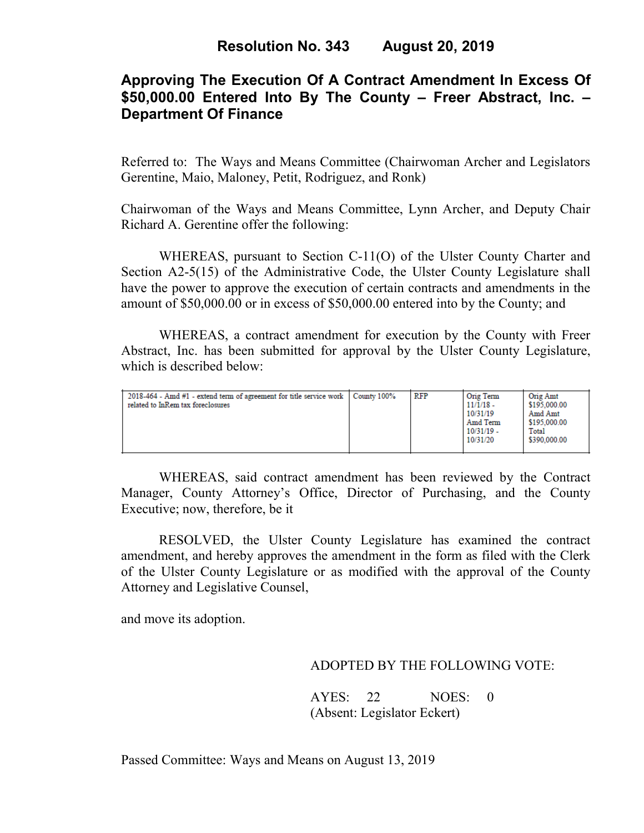# **Approving The Execution Of A Contract Amendment In Excess Of \$50,000.00 Entered Into By The County – Freer Abstract, Inc. – Department Of Finance**

Referred to: The Ways and Means Committee (Chairwoman Archer and Legislators Gerentine, Maio, Maloney, Petit, Rodriguez, and Ronk)

Chairwoman of the Ways and Means Committee, Lynn Archer, and Deputy Chair Richard A. Gerentine offer the following:

WHEREAS, pursuant to Section C-11(O) of the Ulster County Charter and Section A2-5(15) of the Administrative Code, the Ulster County Legislature shall have the power to approve the execution of certain contracts and amendments in the amount of \$50,000.00 or in excess of \$50,000.00 entered into by the County; and

WHEREAS, a contract amendment for execution by the County with Freer Abstract, Inc. has been submitted for approval by the Ulster County Legislature, which is described below:

| $2018-464$ - Amd $#1$ - extend term of agreement for title service work<br>related to InRem tax foreclosures | County 100% | <b>RFP</b> | Orig Term<br>$11/1/18$ -<br>10/31/19<br>Amd Term<br>$10/31/19$ -<br>10/31/20 | Orig Amt<br>\$195,000.00<br>Amd Amt<br>\$195,000.00<br>Total<br>\$390,000.00 |
|--------------------------------------------------------------------------------------------------------------|-------------|------------|------------------------------------------------------------------------------|------------------------------------------------------------------------------|
|--------------------------------------------------------------------------------------------------------------|-------------|------------|------------------------------------------------------------------------------|------------------------------------------------------------------------------|

WHEREAS, said contract amendment has been reviewed by the Contract Manager, County Attorney's Office, Director of Purchasing, and the County Executive; now, therefore, be it

RESOLVED, the Ulster County Legislature has examined the contract amendment, and hereby approves the amendment in the form as filed with the Clerk of the Ulster County Legislature or as modified with the approval of the County Attorney and Legislative Counsel,

and move its adoption.

### ADOPTED BY THE FOLLOWING VOTE:

AYES: 22 NOES: 0 (Absent: Legislator Eckert)

Passed Committee: Ways and Means on August 13, 2019